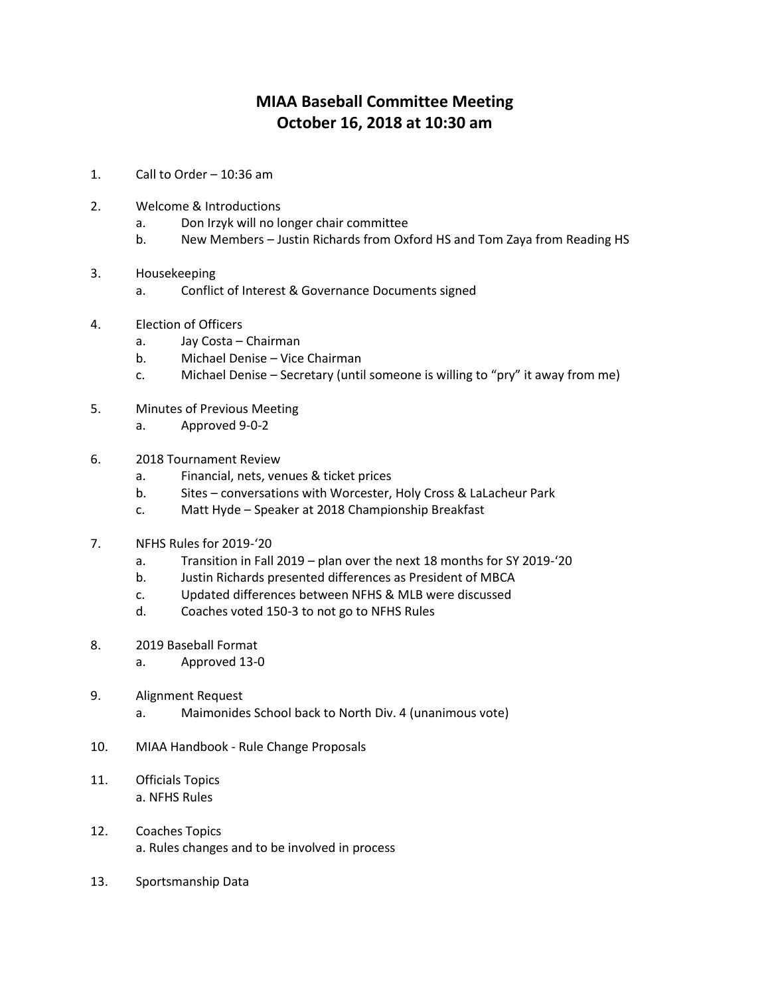## **MIAA Baseball Committee Meeting October 16, 2018 at 10:30 am**

- 1. Call to Order 10:36 am
- 2. Welcome & Introductions
	- a. Don Irzyk will no longer chair committee
	- b. New Members Justin Richards from Oxford HS and Tom Zaya from Reading HS
- 3. Housekeeping
	- a. Conflict of Interest & Governance Documents signed
- 4. Election of Officers
	- a. Jay Costa Chairman
	- b. Michael Denise Vice Chairman
	- c. Michael Denise Secretary (until someone is willing to "pry" it away from me)
- 5. Minutes of Previous Meeting
	- a. Approved 9-0-2
- 6. 2018 Tournament Review
	- a. Financial, nets, venues & ticket prices
	- b. Sites conversations with Worcester, Holy Cross & LaLacheur Park
	- c. Matt Hyde Speaker at 2018 Championship Breakfast
- 7. NFHS Rules for 2019-'20
	- a. Transition in Fall 2019 plan over the next 18 months for SY 2019-'20
	- b. Justin Richards presented differences as President of MBCA
	- c. Updated differences between NFHS & MLB were discussed
	- d. Coaches voted 150-3 to not go to NFHS Rules
- 8. 2019 Baseball Format
	- a. Approved 13-0
- 9. Alignment Request
	- a. Maimonides School back to North Div. 4 (unanimous vote)
- 10. MIAA Handbook Rule Change Proposals
- 11. Officials Topics a. NFHS Rules
- 12. Coaches Topics a. Rules changes and to be involved in process
- 13. Sportsmanship Data